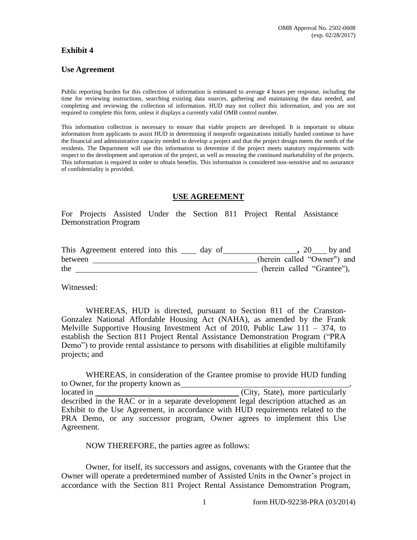## **Exhibit 4**

## **Use Agreement**

Public reporting burden for this collection of information is estimated to average 4 hours per response, including the time for reviewing instructions, searching existing data sources, gathering and maintaining the data needed, and completing and reviewing the collection of information. HUD may not collect this information, and you are not required to complete this form, unless it displays a currently valid OMB control number.

This information collection is necessary to ensure that viable projects are developed. It is important to obtain information from applicants to assist HUD in determining if nonprofit organizations initially funded continue to have the financial and administrative capacity needed to develop a project and that the project design meets the needs of the residents. The Department will use this information to determine if the project meets statutory requirements with respect to the development and operation of the project, as well as ensuring the continued marketability of the projects. This information is required in order to obtain benefits. This information is considered non-sensitive and no assurance of confidentiality is provided.

## **USE AGREEMENT**

For Projects Assisted Under the Section 811 Project Rental Assistance Demonstration Program

|         | This Agreement entered into this |  | day of |  | 20 by and                   |  |
|---------|----------------------------------|--|--------|--|-----------------------------|--|
| between |                                  |  |        |  | (herein called "Owner") and |  |
| the     |                                  |  |        |  | (herein called "Grantee"),  |  |

Witnessed:

WHEREAS, HUD is directed, pursuant to Section 811 of the Cranston-Gonzalez National Affordable Housing Act (NAHA), as amended by the Frank Melville Supportive Housing Investment Act of 2010, Public Law  $111 - 374$ , to establish the Section 811 Project Rental Assistance Demonstration Program ("PRA Demo") to provide rental assistance to persons with disabilities at eligible multifamily projects; and

WHEREAS, in consideration of the Grantee promise to provide HUD funding to Owner, for the property known as located in (City, State), more particularly described in the RAC or in a separate development legal description attached as an Exhibit to the Use Agreement, in accordance with HUD requirements related to the PRA Demo, or any successor program, Owner agrees to implement this Use Agreement.

NOW THEREFORE, the parties agree as follows:

Owner, for itself, its successors and assigns, covenants with the Grantee that the Owner will operate a predetermined number of Assisted Units in the Owner's project in accordance with the Section 811 Project Rental Assistance Demonstration Program,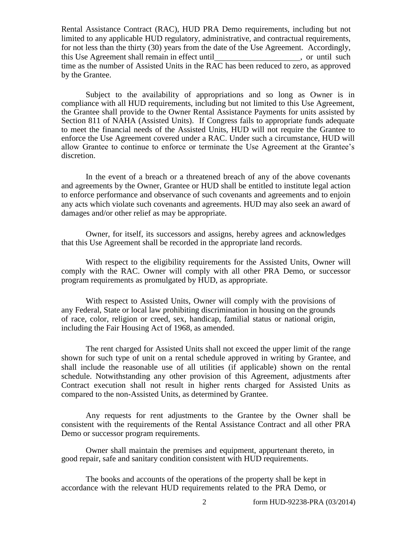Rental Assistance Contract (RAC), HUD PRA Demo requirements, including but not limited to any applicable HUD regulatory, administrative, and contractual requirements, for not less than the thirty (30) years from the date of the Use Agreement. Accordingly, this Use Agreement shall remain in effect until (exceptional) control in the such as a control of the such a control of the such as  $\sim$  0.000 mm such as  $\sim$  0.000 mm such as  $\sim$  0.000 mm such as  $\sim$  0.000 mm such as  $\$ time as the number of Assisted Units in the RAC has been reduced to zero, as approved by the Grantee.

Subject to the availability of appropriations and so long as Owner is in compliance with all HUD requirements, including but not limited to this Use Agreement, the Grantee shall provide to the Owner Rental Assistance Payments for units assisted by Section 811 of NAHA (Assisted Units). If Congress fails to appropriate funds adequate to meet the financial needs of the Assisted Units, HUD will not require the Grantee to enforce the Use Agreement covered under a RAC. Under such a circumstance, HUD will allow Grantee to continue to enforce or terminate the Use Agreement at the Grantee's discretion.

In the event of a breach or a threatened breach of any of the above covenants and agreements by the Owner, Grantee or HUD shall be entitled to institute legal action to enforce performance and observance of such covenants and agreements and to enjoin any acts which violate such covenants and agreements. HUD may also seek an award of damages and/or other relief as may be appropriate.

Owner, for itself, its successors and assigns, hereby agrees and acknowledges that this Use Agreement shall be recorded in the appropriate land records.

With respect to the eligibility requirements for the Assisted Units, Owner will comply with the RAC. Owner will comply with all other PRA Demo, or successor program requirements as promulgated by HUD, as appropriate.

With respect to Assisted Units, Owner will comply with the provisions of any Federal, State or local law prohibiting discrimination in housing on the grounds of race, color, religion or creed, sex, handicap, familial status or national origin, including the Fair Housing Act of 1968, as amended.

The rent charged for Assisted Units shall not exceed the upper limit of the range shown for such type of unit on a rental schedule approved in writing by Grantee, and shall include the reasonable use of all utilities (if applicable) shown on the rental schedule. Notwithstanding any other provision of this Agreement, adjustments after Contract execution shall not result in higher rents charged for Assisted Units as compared to the non-Assisted Units, as determined by Grantee.

Any requests for rent adjustments to the Grantee by the Owner shall be consistent with the requirements of the Rental Assistance Contract and all other PRA Demo or successor program requirements.

Owner shall maintain the premises and equipment, appurtenant thereto, in good repair, safe and sanitary condition consistent with HUD requirements.

The books and accounts of the operations of the property shall be kept in accordance with the relevant HUD requirements related to the PRA Demo, or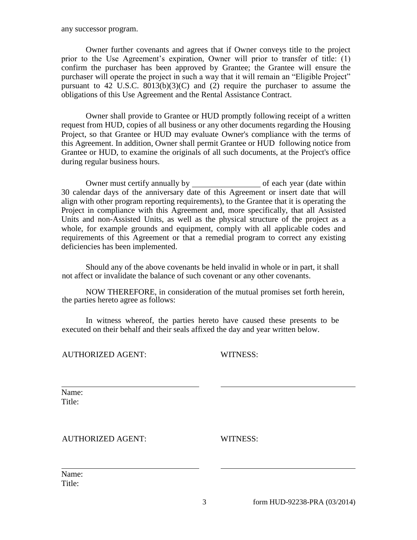any successor program.

Owner further covenants and agrees that if Owner conveys title to the project prior to the Use Agreement's expiration, Owner will prior to transfer of title: (1) confirm the purchaser has been approved by Grantee; the Grantee will ensure the purchaser will operate the project in such a way that it will remain an "Eligible Project" pursuant to 42 U.S.C.  $8013(b)(3)(C)$  and (2) require the purchaser to assume the obligations of this Use Agreement and the Rental Assistance Contract.

Owner shall provide to Grantee or HUD promptly following receipt of a written request from HUD, copies of all business or any other documents regarding the Housing Project, so that Grantee or HUD may evaluate Owner's compliance with the terms of this Agreement. In addition, Owner shall permit Grantee or HUD following notice from Grantee or HUD, to examine the originals of all such documents, at the Project's office during regular business hours.

Owner must certify annually by of each year (date within 30 calendar days of the anniversary date of this Agreement or insert date that will align with other program reporting requirements), to the Grantee that it is operating the Project in compliance with this Agreement and, more specifically, that all Assisted Units and non-Assisted Units, as well as the physical structure of the project as a whole, for example grounds and equipment, comply with all applicable codes and requirements of this Agreement or that a remedial program to correct any existing deficiencies has been implemented.

Should any of the above covenants be held invalid in whole or in part, it shall not affect or invalidate the balance of such covenant or any other covenants.

NOW THEREFORE, in consideration of the mutual promises set forth herein, the parties hereto agree as follows:

In witness whereof, the parties hereto have caused these presents to be executed on their behalf and their seals affixed the day and year written below.

AUTHORIZED AGENT: WITNESS:

Name: Title:

AUTHORIZED AGENT: WITNESS:

Name: Title: